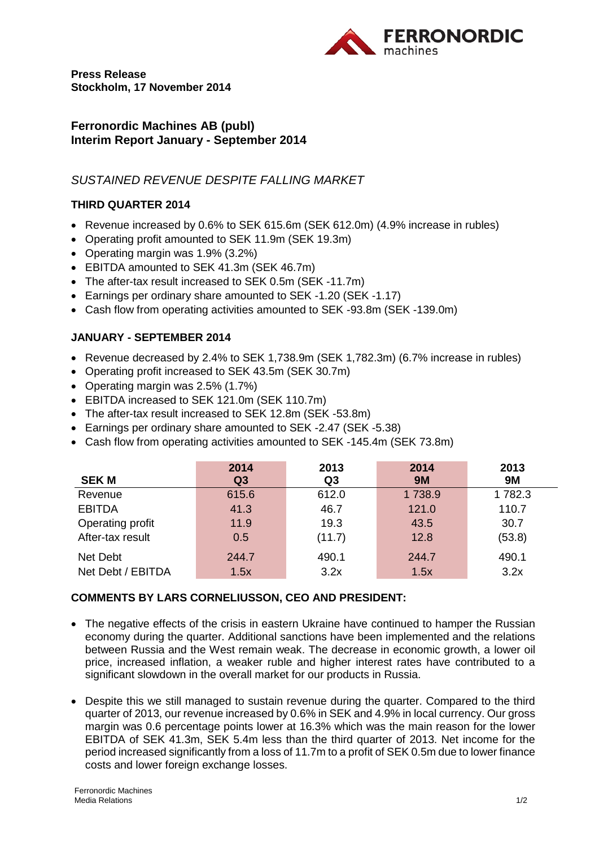

**Press Release Stockholm, 17 November 2014**

### **Ferronordic Machines AB (publ) Interim Report January - September 2014**

# *SUSTAINED REVENUE DESPITE FALLING MARKET*

#### **THIRD QUARTER 2014**

- Revenue increased by 0.6% to SEK 615.6m (SEK 612.0m) (4.9% increase in rubles)
- Operating profit amounted to SEK 11.9m (SEK 19.3m)
- Operating margin was 1.9% (3.2%)
- EBITDA amounted to SEK 41.3m (SEK 46.7m)
- The after-tax result increased to SEK 0.5m (SEK -11.7m)
- Earnings per ordinary share amounted to SEK -1.20 (SEK -1.17)
- Cash flow from operating activities amounted to SEK -93.8m (SEK -139.0m)

#### **JANUARY - SEPTEMBER 2014**

- Revenue decreased by 2.4% to SEK 1,738.9m (SEK 1,782.3m) (6.7% increase in rubles)
- Operating profit increased to SEK 43.5m (SEK 30.7m)
- Operating margin was 2.5% (1.7%)
- EBITDA increased to SEK 121.0m (SEK 110.7m)
- The after-tax result increased to SEK 12.8m (SEK -53.8m)
- Earnings per ordinary share amounted to SEK -2.47 (SEK -5.38)
- Cash flow from operating activities amounted to SEK -145.4m (SEK 73.8m)

|                   | 2014           | 2013           | 2014      | 2013      |
|-------------------|----------------|----------------|-----------|-----------|
| <b>SEK M</b>      | Q <sub>3</sub> | Q <sub>3</sub> | <b>9M</b> | <b>9M</b> |
| Revenue           | 615.6          | 612.0          | 1738.9    | 1782.3    |
| <b>EBITDA</b>     | 41.3           | 46.7           | 121.0     | 110.7     |
| Operating profit  | 11.9           | 19.3           | 43.5      | 30.7      |
| After-tax result  | 0.5            | (11.7)         | 12.8      | (53.8)    |
| Net Debt          | 244.7          | 490.1          | 244.7     | 490.1     |
| Net Debt / EBITDA | 1.5x           | 3.2x           | 1.5x      | 3.2x      |

## **COMMENTS BY LARS CORNELIUSSON, CEO AND PRESIDENT:**

- The negative effects of the crisis in eastern Ukraine have continued to hamper the Russian economy during the quarter. Additional sanctions have been implemented and the relations between Russia and the West remain weak. The decrease in economic growth, a lower oil price, increased inflation, a weaker ruble and higher interest rates have contributed to a significant slowdown in the overall market for our products in Russia.
- Despite this we still managed to sustain revenue during the quarter. Compared to the third quarter of 2013, our revenue increased by 0.6% in SEK and 4.9% in local currency. Our gross margin was 0.6 percentage points lower at 16.3% which was the main reason for the lower EBITDA of SEK 41.3m, SEK 5.4m less than the third quarter of 2013. Net income for the period increased significantly from a loss of 11.7m to a profit of SEK 0.5m due to lower finance costs and lower foreign exchange losses.